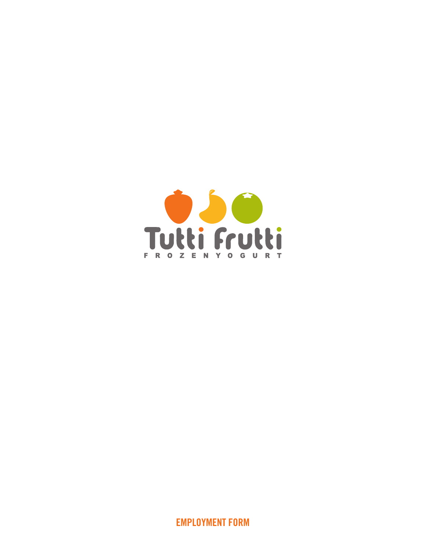

EMPLOYMENT FORM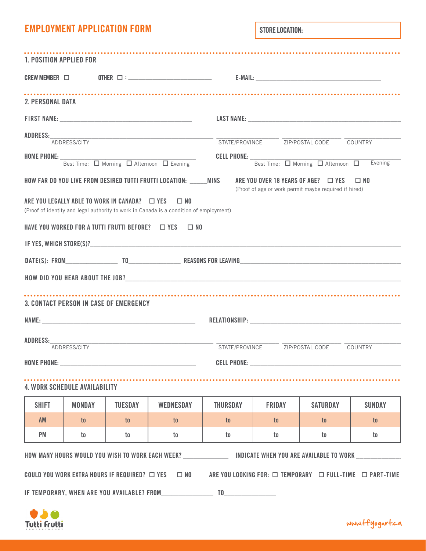| <b>EMPLOYMENT APPLICATION FORM</b> |  |  |
|------------------------------------|--|--|
|------------------------------------|--|--|

STORE LOCATION:

| 1. POSITION APPLIED FOR |                                      |                                                                                                                                                                                                                                |                                                                                                                                      |                    |               |                                                                                                   |                |
|-------------------------|--------------------------------------|--------------------------------------------------------------------------------------------------------------------------------------------------------------------------------------------------------------------------------|--------------------------------------------------------------------------------------------------------------------------------------|--------------------|---------------|---------------------------------------------------------------------------------------------------|----------------|
|                         |                                      |                                                                                                                                                                                                                                |                                                                                                                                      |                    |               |                                                                                                   |                |
| <b>2. PERSONAL DATA</b> |                                      |                                                                                                                                                                                                                                |                                                                                                                                      |                    |               |                                                                                                   |                |
|                         |                                      |                                                                                                                                                                                                                                |                                                                                                                                      |                    |               | LAST NAME:                                                                                        |                |
|                         | ADDRESS/CITY                         |                                                                                                                                                                                                                                |                                                                                                                                      |                    |               | STATE/PROVINCE ZIP/POSTAL CODE COUNTRY                                                            |                |
|                         |                                      |                                                                                                                                                                                                                                | Best Time: Q Morning Q Afternoon Q Evening                                                                                           | <b>CELL PHONE:</b> |               | Best Time: O Morning O Afternoon O                                                                | Evening        |
|                         |                                      |                                                                                                                                                                                                                                | HOW FAR DO YOU LIVE FROM DESIRED TUTTI FRUTTI LOCATION: MINS<br>ARE YOU LEGALLY ABLE TO WORK IN CANADA?  U YES  U NO                 |                    |               | ARE YOU OVER 18 YEARS OF AGE? $\Box$ YES<br>(Proof of age or work permit maybe required if hired) | $\square$ No   |
|                         |                                      |                                                                                                                                                                                                                                | (Proof of identity and legal authority to work in Canada is a condition of employment)                                               |                    |               |                                                                                                   |                |
|                         |                                      |                                                                                                                                                                                                                                | HAVE YOU WORKED FOR A TUTTI FRUTTI BEFORE? $\Box$ YES $\Box$ NO                                                                      |                    |               |                                                                                                   |                |
|                         |                                      |                                                                                                                                                                                                                                |                                                                                                                                      |                    |               |                                                                                                   |                |
|                         |                                      |                                                                                                                                                                                                                                | DATE(S): FROM TO TO REASONS FOR LEAVING                                                                                              |                    |               |                                                                                                   |                |
|                         |                                      |                                                                                                                                                                                                                                |                                                                                                                                      |                    |               |                                                                                                   |                |
|                         |                                      | <b>3. CONTACT PERSON IN CASE OF EMERGENCY</b>                                                                                                                                                                                  |                                                                                                                                      |                    |               |                                                                                                   |                |
|                         | ADDRESS/CITY                         |                                                                                                                                                                                                                                |                                                                                                                                      |                    |               | STATE/PROVINCE ZIP/POSTAL CODE COUNTRY                                                            |                |
|                         |                                      | HOME PHONE: New York Phone Phone Phone Phone Phone Phone Phone Phone Phone Phone Phone Phone Phone Phone Phone Phone Phone Phone Phone Phone Phone Phone Phone Phone Phone Phone Phone Phone Phone Phone Phone Phone Phone Pho |                                                                                                                                      |                    |               | <b>CELL PHONE: CELL PHONE:</b>                                                                    |                |
|                         | <b>4. WORK SCHEDULE AVAILABILITY</b> |                                                                                                                                                                                                                                |                                                                                                                                      |                    |               |                                                                                                   |                |
| <b>SHIFT</b>            | <b>MONDAY</b>                        | <b>TUESDAY</b>                                                                                                                                                                                                                 | <b>WEDNESDAY</b>                                                                                                                     | <b>THURSDAY</b>    | <b>FRIDAY</b> | <b>SATURDAY</b>                                                                                   | <b>SUNDAY</b>  |
| <b>AM</b>               | to                                   | $\mathfrak{t}$                                                                                                                                                                                                                 | $\mathfrak{t}$                                                                                                                       | to                 | to            | to                                                                                                | $\mathfrak{g}$ |
| <b>PM</b>               | to                                   | to                                                                                                                                                                                                                             | to                                                                                                                                   | to                 | to            | $\mathsf{t}$                                                                                      | to             |
|                         |                                      |                                                                                                                                                                                                                                | HOW MANY HOURS WOULD YOU WISH TO WORK EACH WEEK? ___________________ INDICATE WHEN YOU ARE AVAILABLE TO WORK                         |                    |               |                                                                                                   |                |
|                         |                                      |                                                                                                                                                                                                                                | COULD YOU WORK EXTRA HOURS IF REQUIRED? $\Box$ YES $\Box$ NO ARE YOU LOOKING FOR: $\Box$ TEMPORARY $\Box$ FULL-TIME $\Box$ PART-TIME |                    |               |                                                                                                   |                |
|                         |                                      |                                                                                                                                                                                                                                | IF TEMPORARY, WHEN ARE YOU AVAILABLE? FROM TO TO TO THE RESERVE TO THE RESERVE TO A LIMIT AND TO THE RESERVE T                       |                    |               |                                                                                                   |                |